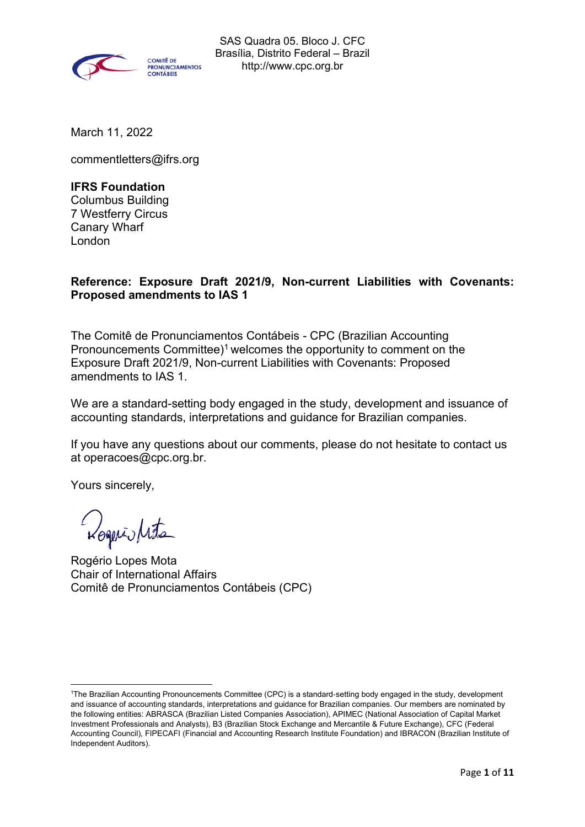

March 11, 2022

commentletters@ifrs.org

### **IFRS Foundation**

Columbus Building 7 Westferry Circus Canary Wharf London

# **Reference: Exposure Draft 2021/9, Non-current Liabilities with Covenants: Proposed amendments to IAS 1**

The Comitê de Pronunciamentos Contábeis - CPC (Brazilian Accounting Pronouncements Committee)<sup>1</sup> welcomes the opportunity to comment on the Exposure Draft 2021/9, Non-current Liabilities with Covenants: Proposed amendments to IAS 1.

We are a standard-setting body engaged in the study, development and issuance of accounting standards, interpretations and guidance for Brazilian companies.

If you have any questions about our comments, please do not hesitate to contact us at operacoes@cpc.org.br.

Yours sincerely,

Rogeris/rita

Rogério Lopes Mota Chair of International Affairs Comitê de Pronunciamentos Contábeis (CPC)

<sup>1</sup>The Brazilian Accounting Pronouncements Committee (CPC) is a standard-setting body engaged in the study, development and issuance of accounting standards, interpretations and guidance for Brazilian companies. Our members are nominated by the following entities: ABRASCA (Brazilian Listed Companies Association), APIMEC (National Association of Capital Market Investment Professionals and Analysts), B3 (Brazilian Stock Exchange and Mercantile & Future Exchange), CFC (Federal Accounting Council), FIPECAFI (Financial and Accounting Research Institute Foundation) and IBRACON (Brazilian Institute of Independent Auditors).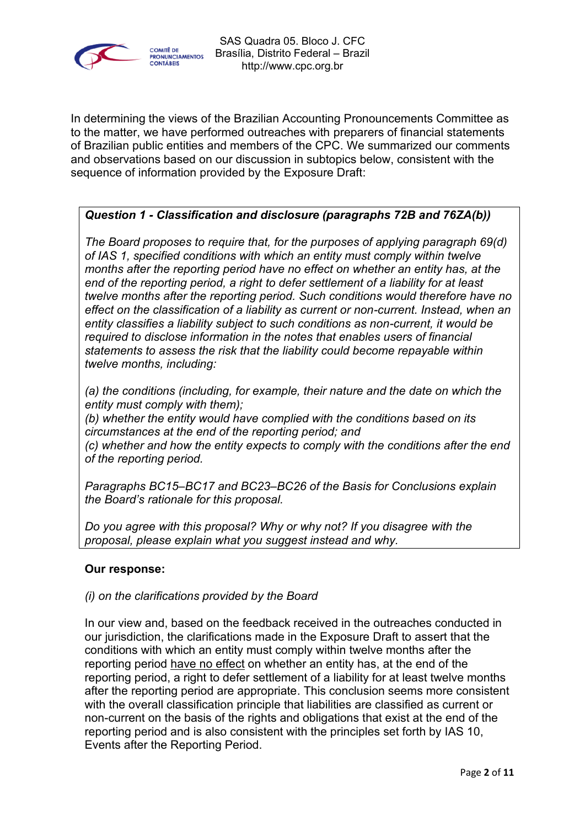

In determining the views of the Brazilian Accounting Pronouncements Committee as to the matter, we have performed outreaches with preparers of financial statements of Brazilian public entities and members of the CPC. We summarized our comments and observations based on our discussion in subtopics below, consistent with the sequence of information provided by the Exposure Draft:

# *Question 1 - Classification and disclosure (paragraphs 72B and 76ZA(b))*

*The Board proposes to require that, for the purposes of applying paragraph 69(d) of IAS 1, specified conditions with which an entity must comply within twelve months after the reporting period have no effect on whether an entity has, at the end of the reporting period, a right to defer settlement of a liability for at least twelve months after the reporting period. Such conditions would therefore have no effect on the classification of a liability as current or non-current. Instead, when an entity classifies a liability subject to such conditions as non-current, it would be required to disclose information in the notes that enables users of financial statements to assess the risk that the liability could become repayable within twelve months, including:*

*(a) the conditions (including, for example, their nature and the date on which the entity must comply with them);*

*(b) whether the entity would have complied with the conditions based on its circumstances at the end of the reporting period; and (c) whether and how the entity expects to comply with the conditions after the end of the reporting period.*

*Paragraphs BC15–BC17 and BC23–BC26 of the Basis for Conclusions explain the Board's rationale for this proposal.*

*Do you agree with this proposal? Why or why not? If you disagree with the proposal, please explain what you suggest instead and why.*

#### **Our response:**

#### *(i) on the clarifications provided by the Board*

In our view and, based on the feedback received in the outreaches conducted in our jurisdiction, the clarifications made in the Exposure Draft to assert that the conditions with which an entity must comply within twelve months after the reporting period have no effect on whether an entity has, at the end of the reporting period, a right to defer settlement of a liability for at least twelve months after the reporting period are appropriate. This conclusion seems more consistent with the overall classification principle that liabilities are classified as current or non-current on the basis of the rights and obligations that exist at the end of the reporting period and is also consistent with the principles set forth by IAS 10, Events after the Reporting Period.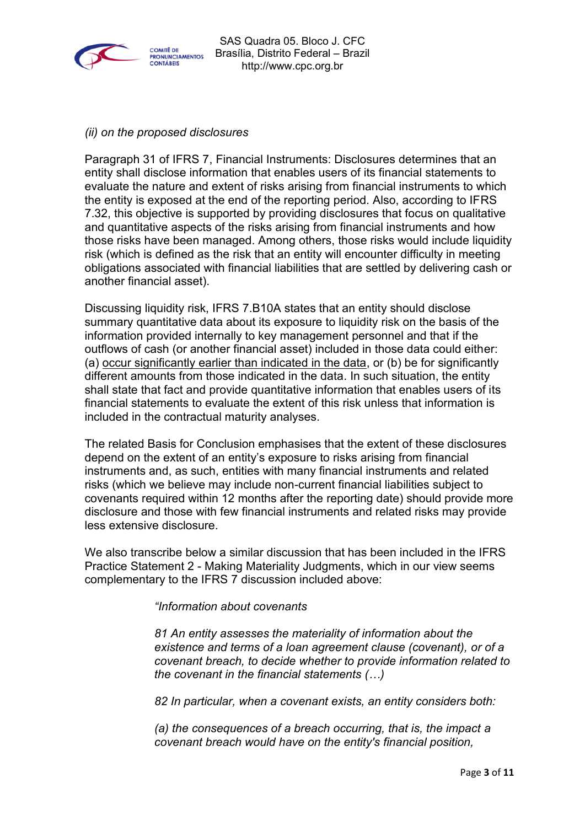

### *(ii) on the proposed disclosures*

Paragraph 31 of IFRS 7, Financial Instruments: Disclosures determines that an entity shall disclose information that enables users of its financial statements to evaluate the nature and extent of risks arising from financial instruments to which the entity is exposed at the end of the reporting period. Also, according to IFRS 7.32, this objective is supported by providing disclosures that focus on qualitative and quantitative aspects of the risks arising from financial instruments and how those risks have been managed. Among others, those risks would include liquidity risk (which is defined as the risk that an entity will encounter difficulty in meeting obligations associated with financial liabilities that are settled by delivering cash or another financial asset).

Discussing liquidity risk, IFRS 7.B10A states that an entity should disclose summary quantitative data about its exposure to liquidity risk on the basis of the information provided internally to key management personnel and that if the outflows of cash (or another financial asset) included in those data could either: (a) occur significantly earlier than indicated in the data, or (b) be for significantly different amounts from those indicated in the data. In such situation, the entity shall state that fact and provide quantitative information that enables users of its financial statements to evaluate the extent of this risk unless that information is included in the contractual maturity analyses.

The related Basis for Conclusion emphasises that the extent of these disclosures depend on the extent of an entity's exposure to risks arising from financial instruments and, as such, entities with many financial instruments and related risks (which we believe may include non-current financial liabilities subject to covenants required within 12 months after the reporting date) should provide more disclosure and those with few financial instruments and related risks may provide less extensive disclosure.

We also transcribe below a similar discussion that has been included in the IFRS Practice Statement 2 - Making Materiality Judgments, which in our view seems complementary to the IFRS 7 discussion included above:

*"Information about covenants*

*81 An entity assesses the materiality of information about the existence and terms of a loan agreement clause (covenant), or of a covenant breach, to decide whether to provide information related to the covenant in the financial statements (…)*

*82 In particular, when a covenant exists, an entity considers both:* 

*(a) the consequences of a breach occurring, that is, the impact a covenant breach would have on the entity's financial position,*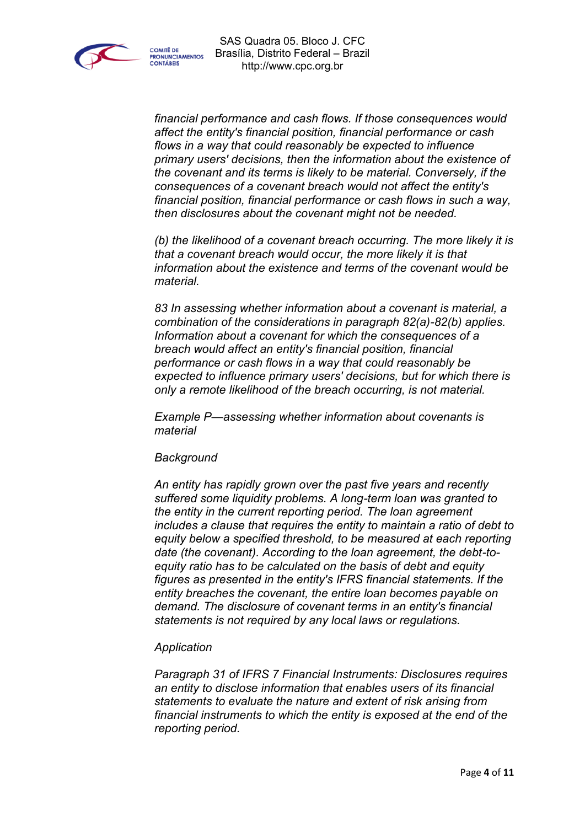

*financial performance and cash flows. If those consequences would affect the entity's financial position, financial performance or cash flows in a way that could reasonably be expected to influence primary users' decisions, then the information about the existence of the covenant and its terms is likely to be material. Conversely, if the consequences of a covenant breach would not affect the entity's financial position, financial performance or cash flows in such a way, then disclosures about the covenant might not be needed.*

*(b) the likelihood of a covenant breach occurring. The more likely it is that a covenant breach would occur, the more likely it is that information about the existence and terms of the covenant would be material.*

*83 In assessing whether information about a covenant is material, a combination of the considerations in paragraph 82(a)-82(b) applies. Information about a covenant for which the consequences of a breach would affect an entity's financial position, financial performance or cash flows in a way that could reasonably be expected to influence primary users' decisions, but for which there is only a remote likelihood of the breach occurring, is not material.*

*Example P—assessing whether information about covenants is material*

#### *Background*

*An entity has rapidly grown over the past five years and recently suffered some liquidity problems. A long-term loan was granted to the entity in the current reporting period. The loan agreement includes a clause that requires the entity to maintain a ratio of debt to equity below a specified threshold, to be measured at each reporting date (the covenant). According to the loan agreement, the debt-toequity ratio has to be calculated on the basis of debt and equity figures as presented in the entity's IFRS financial statements. If the entity breaches the covenant, the entire loan becomes payable on demand. The disclosure of covenant terms in an entity's financial statements is not required by any local laws or regulations.*

#### *Application*

*Paragraph 31 of IFRS 7 Financial Instruments: Disclosures requires an entity to disclose information that enables users of its financial statements to evaluate the nature and extent of risk arising from financial instruments to which the entity is exposed at the end of the reporting period.*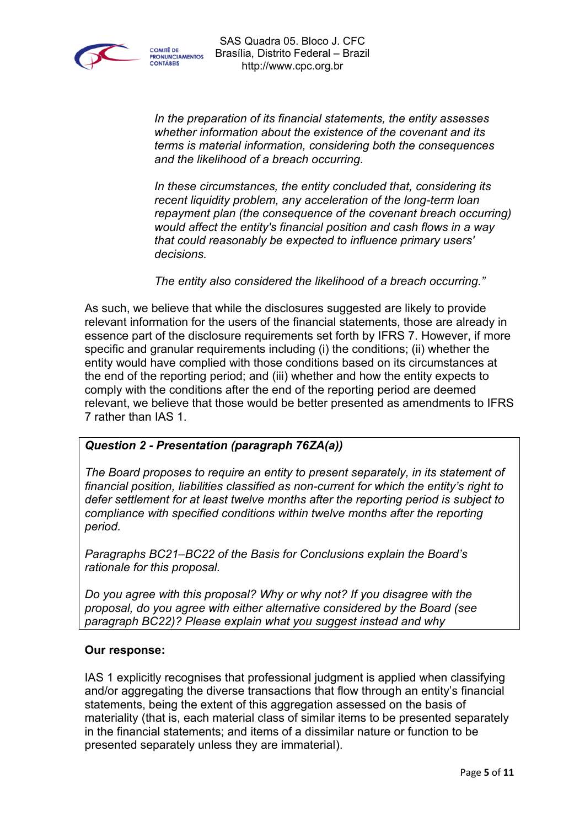

*In the preparation of its financial statements, the entity assesses whether information about the existence of the covenant and its terms is material information, considering both the consequences and the likelihood of a breach occurring.*

*In these circumstances, the entity concluded that, considering its recent liquidity problem, any acceleration of the long-term loan repayment plan (the consequence of the covenant breach occurring) would affect the entity's financial position and cash flows in a way that could reasonably be expected to influence primary users' decisions.*

*The entity also considered the likelihood of a breach occurring."*

As such, we believe that while the disclosures suggested are likely to provide relevant information for the users of the financial statements, those are already in essence part of the disclosure requirements set forth by IFRS 7. However, if more specific and granular requirements including (i) the conditions; (ii) whether the entity would have complied with those conditions based on its circumstances at the end of the reporting period; and (iii) whether and how the entity expects to comply with the conditions after the end of the reporting period are deemed relevant, we believe that those would be better presented as amendments to IFRS 7 rather than IAS 1.

# *Question 2 - Presentation (paragraph 76ZA(a))*

*The Board proposes to require an entity to present separately, in its statement of financial position, liabilities classified as non-current for which the entity's right to defer settlement for at least twelve months after the reporting period is subject to compliance with specified conditions within twelve months after the reporting period.*

*Paragraphs BC21–BC22 of the Basis for Conclusions explain the Board's rationale for this proposal.*

*Do you agree with this proposal? Why or why not? If you disagree with the proposal, do you agree with either alternative considered by the Board (see paragraph BC22)? Please explain what you suggest instead and why*

#### **Our response:**

IAS 1 explicitly recognises that professional judgment is applied when classifying and/or aggregating the diverse transactions that flow through an entity's financial statements, being the extent of this aggregation assessed on the basis of materiality (that is, each material class of similar items to be presented separately in the financial statements; and items of a dissimilar nature or function to be presented separately unless they are immaterial).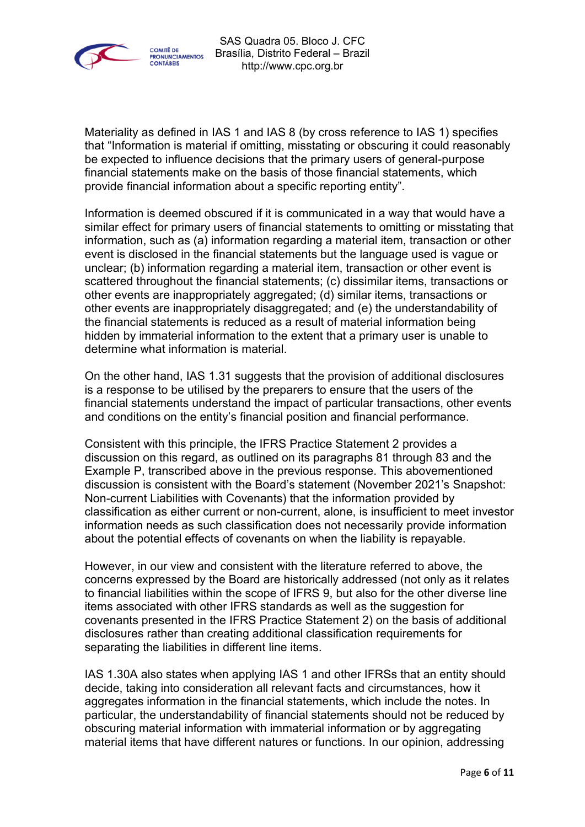

Materiality as defined in IAS 1 and IAS 8 (by cross reference to IAS 1) specifies that "Information is material if omitting, misstating or obscuring it could reasonably be expected to influence decisions that the primary users of general-purpose financial statements make on the basis of those financial statements, which provide financial information about a specific reporting entity".

Information is deemed obscured if it is communicated in a way that would have a similar effect for primary users of financial statements to omitting or misstating that information, such as (a) information regarding a material item, transaction or other event is disclosed in the financial statements but the language used is vague or unclear; (b) information regarding a material item, transaction or other event is scattered throughout the financial statements; (c) dissimilar items, transactions or other events are inappropriately aggregated; (d) similar items, transactions or other events are inappropriately disaggregated; and (e) the understandability of the financial statements is reduced as a result of material information being hidden by immaterial information to the extent that a primary user is unable to determine what information is material.

On the other hand, IAS 1.31 suggests that the provision of additional disclosures is a response to be utilised by the preparers to ensure that the users of the financial statements understand the impact of particular transactions, other events and conditions on the entity's financial position and financial performance.

Consistent with this principle, the IFRS Practice Statement 2 provides a discussion on this regard, as outlined on its paragraphs 81 through 83 and the Example P, transcribed above in the previous response. This abovementioned discussion is consistent with the Board's statement (November 2021's Snapshot: Non-current Liabilities with Covenants) that the information provided by classification as either current or non-current, alone, is insufficient to meet investor information needs as such classification does not necessarily provide information about the potential effects of covenants on when the liability is repayable.

However, in our view and consistent with the literature referred to above, the concerns expressed by the Board are historically addressed (not only as it relates to financial liabilities within the scope of IFRS 9, but also for the other diverse line items associated with other IFRS standards as well as the suggestion for covenants presented in the IFRS Practice Statement 2) on the basis of additional disclosures rather than creating additional classification requirements for separating the liabilities in different line items.

IAS 1.30A also states when applying IAS 1 and other IFRSs that an entity should decide, taking into consideration all relevant facts and circumstances, how it aggregates information in the financial statements, which include the notes. In particular, the understandability of financial statements should not be reduced by obscuring material information with immaterial information or by aggregating material items that have different natures or functions. In our opinion, addressing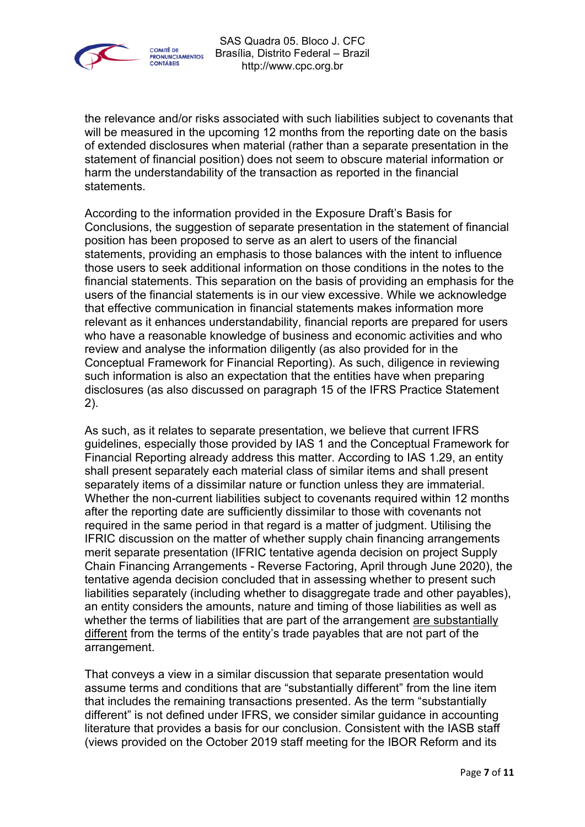

the relevance and/or risks associated with such liabilities subject to covenants that will be measured in the upcoming 12 months from the reporting date on the basis of extended disclosures when material (rather than a separate presentation in the statement of financial position) does not seem to obscure material information or harm the understandability of the transaction as reported in the financial statements.

According to the information provided in the Exposure Draft's Basis for Conclusions, the suggestion of separate presentation in the statement of financial position has been proposed to serve as an alert to users of the financial statements, providing an emphasis to those balances with the intent to influence those users to seek additional information on those conditions in the notes to the financial statements. This separation on the basis of providing an emphasis for the users of the financial statements is in our view excessive. While we acknowledge that effective communication in financial statements makes information more relevant as it enhances understandability, financial reports are prepared for users who have a reasonable knowledge of business and economic activities and who review and analyse the information diligently (as also provided for in the Conceptual Framework for Financial Reporting). As such, diligence in reviewing such information is also an expectation that the entities have when preparing disclosures (as also discussed on paragraph 15 of the IFRS Practice Statement 2).

As such, as it relates to separate presentation, we believe that current IFRS guidelines, especially those provided by IAS 1 and the Conceptual Framework for Financial Reporting already address this matter. According to IAS 1.29, an entity shall present separately each material class of similar items and shall present separately items of a dissimilar nature or function unless they are immaterial. Whether the non-current liabilities subject to covenants required within 12 months after the reporting date are sufficiently dissimilar to those with covenants not required in the same period in that regard is a matter of judgment. Utilising the IFRIC discussion on the matter of whether supply chain financing arrangements merit separate presentation (IFRIC tentative agenda decision on project Supply Chain Financing Arrangements - Reverse Factoring, April through June 2020), the tentative agenda decision concluded that in assessing whether to present such liabilities separately (including whether to disaggregate trade and other payables), an entity considers the amounts, nature and timing of those liabilities as well as whether the terms of liabilities that are part of the arrangement are substantially different from the terms of the entity's trade payables that are not part of the arrangement.

That conveys a view in a similar discussion that separate presentation would assume terms and conditions that are "substantially different" from the line item that includes the remaining transactions presented. As the term "substantially different" is not defined under IFRS, we consider similar guidance in accounting literature that provides a basis for our conclusion. Consistent with the IASB staff (views provided on the October 2019 staff meeting for the IBOR Reform and its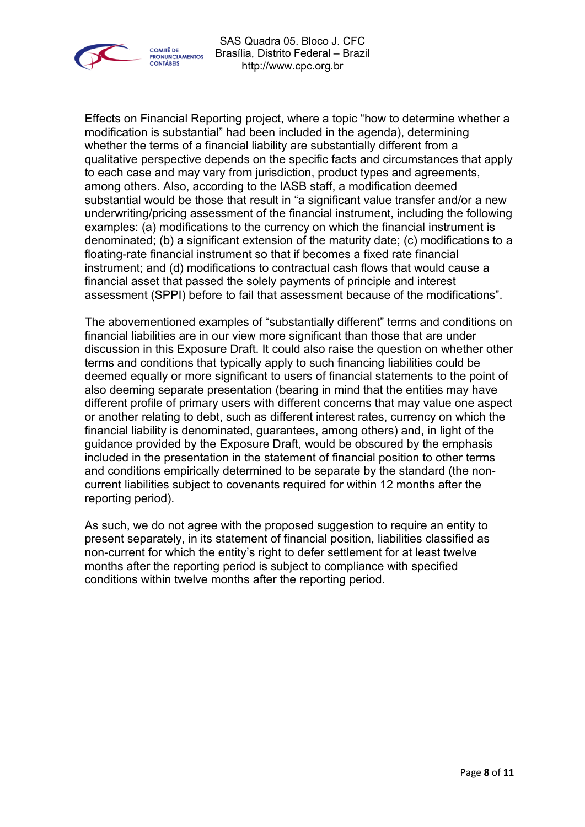

Effects on Financial Reporting project, where a topic "how to determine whether a modification is substantial" had been included in the agenda), determining whether the terms of a financial liability are substantially different from a qualitative perspective depends on the specific facts and circumstances that apply to each case and may vary from jurisdiction, product types and agreements, among others. Also, according to the IASB staff, a modification deemed substantial would be those that result in "a significant value transfer and/or a new underwriting/pricing assessment of the financial instrument, including the following examples: (a) modifications to the currency on which the financial instrument is denominated; (b) a significant extension of the maturity date; (c) modifications to a floating-rate financial instrument so that if becomes a fixed rate financial instrument; and (d) modifications to contractual cash flows that would cause a financial asset that passed the solely payments of principle and interest assessment (SPPI) before to fail that assessment because of the modifications".

The abovementioned examples of "substantially different" terms and conditions on financial liabilities are in our view more significant than those that are under discussion in this Exposure Draft. It could also raise the question on whether other terms and conditions that typically apply to such financing liabilities could be deemed equally or more significant to users of financial statements to the point of also deeming separate presentation (bearing in mind that the entities may have different profile of primary users with different concerns that may value one aspect or another relating to debt, such as different interest rates, currency on which the financial liability is denominated, guarantees, among others) and, in light of the guidance provided by the Exposure Draft, would be obscured by the emphasis included in the presentation in the statement of financial position to other terms and conditions empirically determined to be separate by the standard (the noncurrent liabilities subject to covenants required for within 12 months after the reporting period).

As such, we do not agree with the proposed suggestion to require an entity to present separately, in its statement of financial position, liabilities classified as non-current for which the entity's right to defer settlement for at least twelve months after the reporting period is subject to compliance with specified conditions within twelve months after the reporting period.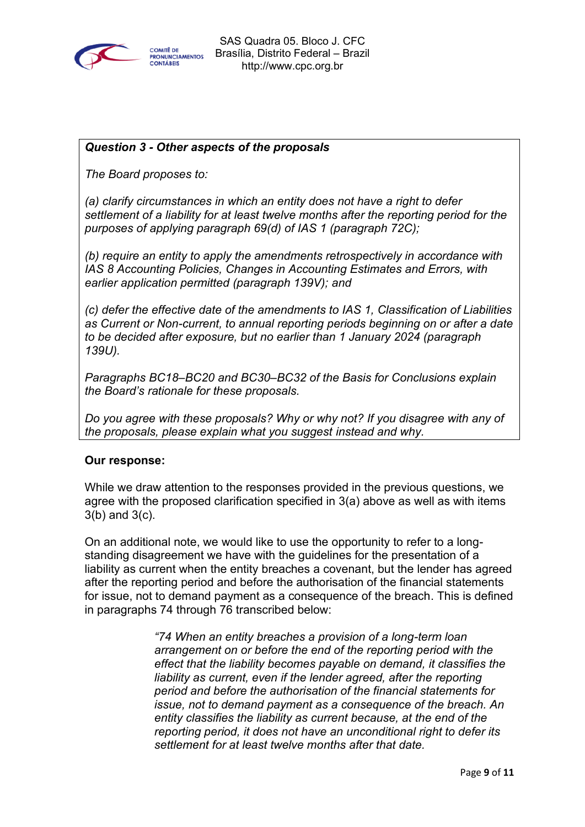

# *Question 3 - Other aspects of the proposals*

*The Board proposes to:*

*(a) clarify circumstances in which an entity does not have a right to defer settlement of a liability for at least twelve months after the reporting period for the purposes of applying paragraph 69(d) of IAS 1 (paragraph 72C);*

*(b) require an entity to apply the amendments retrospectively in accordance with IAS 8 Accounting Policies, Changes in Accounting Estimates and Errors, with earlier application permitted (paragraph 139V); and*

*(c) defer the effective date of the amendments to IAS 1, Classification of Liabilities as Current or Non-current, to annual reporting periods beginning on or after a date to be decided after exposure, but no earlier than 1 January 2024 (paragraph 139U).*

*Paragraphs BC18–BC20 and BC30–BC32 of the Basis for Conclusions explain the Board's rationale for these proposals.*

*Do you agree with these proposals? Why or why not? If you disagree with any of the proposals, please explain what you suggest instead and why.*

# **Our response:**

While we draw attention to the responses provided in the previous questions, we agree with the proposed clarification specified in 3(a) above as well as with items 3(b) and 3(c).

On an additional note, we would like to use the opportunity to refer to a longstanding disagreement we have with the guidelines for the presentation of a liability as current when the entity breaches a covenant, but the lender has agreed after the reporting period and before the authorisation of the financial statements for issue, not to demand payment as a consequence of the breach. This is defined in paragraphs 74 through 76 transcribed below:

> *"74 When an entity breaches a provision of a long-term loan arrangement on or before the end of the reporting period with the effect that the liability becomes payable on demand, it classifies the liability as current, even if the lender agreed, after the reporting period and before the authorisation of the financial statements for issue, not to demand payment as a consequence of the breach. An entity classifies the liability as current because, at the end of the reporting period, it does not have an unconditional right to defer its settlement for at least twelve months after that date.*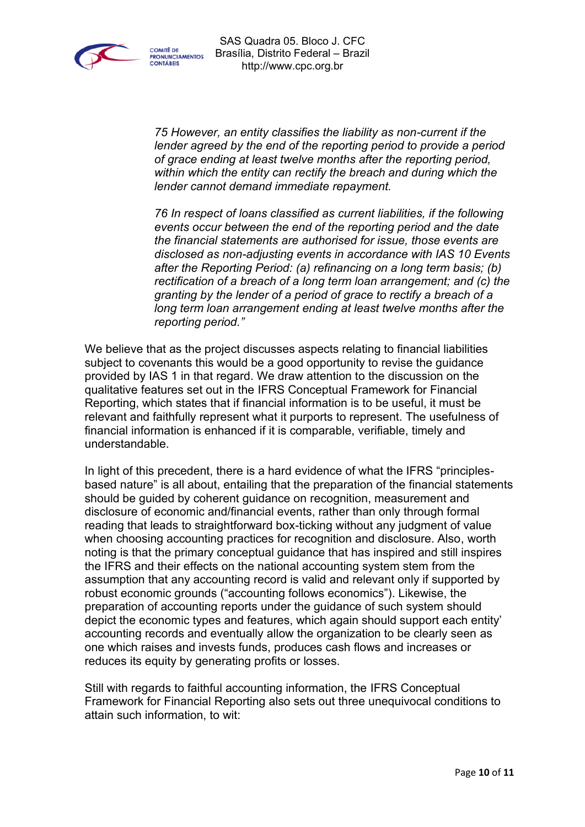

*75 However, an entity classifies the liability as non-current if the lender agreed by the end of the reporting period to provide a period of grace ending at least twelve months after the reporting period, within which the entity can rectify the breach and during which the lender cannot demand immediate repayment.*

*76 In respect of loans classified as current liabilities, if the following events occur between the end of the reporting period and the date the financial statements are authorised for issue, those events are disclosed as non-adjusting events in accordance with IAS 10 Events after the Reporting Period: (a) refinancing on a long term basis; (b) rectification of a breach of a long term loan arrangement; and (c) the granting by the lender of a period of grace to rectify a breach of a long term loan arrangement ending at least twelve months after the reporting period."*

We believe that as the project discusses aspects relating to financial liabilities subject to covenants this would be a good opportunity to revise the guidance provided by IAS 1 in that regard. We draw attention to the discussion on the qualitative features set out in the IFRS Conceptual Framework for Financial Reporting, which states that if financial information is to be useful, it must be relevant and faithfully represent what it purports to represent. The usefulness of financial information is enhanced if it is comparable, verifiable, timely and understandable.

In light of this precedent, there is a hard evidence of what the IFRS "principlesbased nature" is all about, entailing that the preparation of the financial statements should be guided by coherent guidance on recognition, measurement and disclosure of economic and/financial events, rather than only through formal reading that leads to straightforward box-ticking without any judgment of value when choosing accounting practices for recognition and disclosure. Also, worth noting is that the primary conceptual guidance that has inspired and still inspires the IFRS and their effects on the national accounting system stem from the assumption that any accounting record is valid and relevant only if supported by robust economic grounds ("accounting follows economics"). Likewise, the preparation of accounting reports under the guidance of such system should depict the economic types and features, which again should support each entity' accounting records and eventually allow the organization to be clearly seen as one which raises and invests funds, produces cash flows and increases or reduces its equity by generating profits or losses.

Still with regards to faithful accounting information, the IFRS Conceptual Framework for Financial Reporting also sets out three unequivocal conditions to attain such information, to wit: